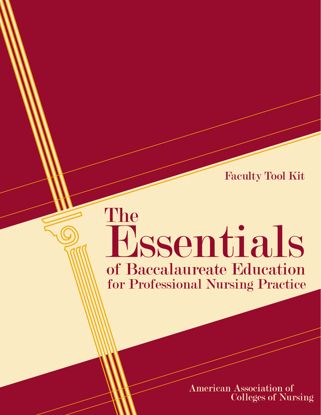Faculty Tool Kit

# The Essentials of Baccalaureate Education for Professional Nursing Practice

**American Association of Colleges of Nursing**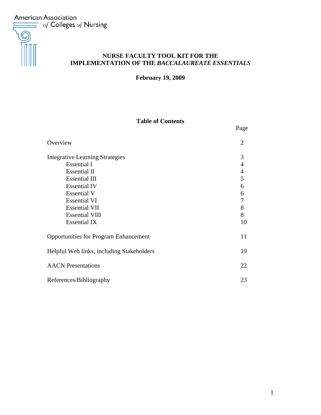**American Association**  $\equiv$  of Colleges of Nursing



# **NURSE FACULTY TOOL KIT FOR THE IMPLEMENTATION OF THE** *BACCALAUREATE ESSENTIALS*

**February 19, 2009** 

## **Table of Contents**

|                                              | Page           |
|----------------------------------------------|----------------|
| Overview                                     | $\overline{2}$ |
| <b>Integrative Learning Strategies</b>       | 3              |
| <b>Essential I</b>                           | $\overline{4}$ |
| <b>Essential II</b>                          | $\overline{4}$ |
| <b>Essential III</b>                         | 5              |
| <b>Essential IV</b>                          | 6              |
| <b>Essential V</b>                           | 6              |
| <b>Essential VI</b>                          | 7              |
| <b>Essential VII</b>                         | 8              |
| <b>Essential VIII</b>                        | 8              |
| <b>Essential IX</b>                          | 10             |
| <b>Opportunities for Program Enhancement</b> | 11             |
| Helpful Web links, including Stakeholders    | 19             |
| <b>AACN</b> Presentations                    | 22             |
| References/Bibliography                      | 23             |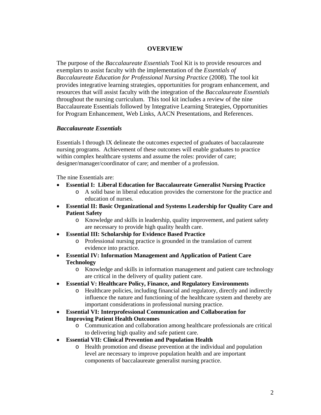#### **OVERVIEW**

The purpose of the *Baccalaureate Essentials* Tool Kit is to provide resources and exemplars to assist faculty with the implementation of the *Essentials of Baccalaureate Education for Professional Nursing Practice* (2008)*.* The tool kit provides integrative learning strategies, opportunities for program enhancement, and resources that will assist faculty with the integration of the *Baccalaureate Essentials* throughout the nursing curriculum. This tool kit includes a review of the nine Baccalaureate Essentials followed by Integrative Learning Strategies, Opportunities for Program Enhancement, Web Links, AACN Presentations, and References.

#### *Baccalaureate Essentials*

Essentials I through IX delineate the outcomes expected of graduates of baccalaureate nursing programs. Achievement of these outcomes will enable graduates to practice within complex healthcare systems and assume the roles: provider of care; designer/manager/coordinator of care; and member of a profession.

The nine Essentials are:

- **Essential I: Liberal Education for Baccalaureate Generalist Nursing Practice** 
	- o A solid base in liberal education provides the cornerstone for the practice and education of nurses.
- **Essential II: Basic Organizational and Systems Leadership for Quality Care and Patient Safety** 
	- o Knowledge and skills in leadership, quality improvement, and patient safety are necessary to provide high quality health care.
- **Essential III: Scholarship for Evidence Based Practice** 
	- o Professional nursing practice is grounded in the translation of current evidence into practice.
- **Essential IV: Information Management and Application of Patient Care Technology** 
	- o Knowledge and skills in information management and patient care technology are critical in the delivery of quality patient care.
- **Essential V: Healthcare Policy, Finance, and Regulatory Environments** 
	- o Healthcare policies, including financial and regulatory, directly and indirectly influence the nature and functioning of the healthcare system and thereby are important considerations in professional nursing practice.
- **Essential VI: Interprofessional Communication and Collaboration for Improving Patient Health Outcomes** 
	- o Communication and collaboration among healthcare professionals are critical to delivering high quality and safe patient care.
- **Essential VII: Clinical Prevention and Population Health** 
	- o Health promotion and disease prevention at the individual and population level are necessary to improve population health and are important components of baccalaureate generalist nursing practice.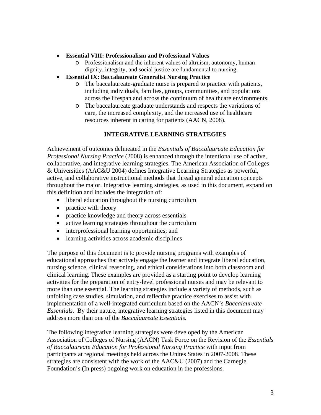#### • **Essential VIII: Professionalism and Professional Values**

- o Professionalism and the inherent values of altruism, autonomy, human dignity, integrity, and social justice are fundamental to nursing.
- **Essential IX: Baccalaureate Generalist Nursing Practice** 
	- o The baccalaureate-graduate nurse is prepared to practice with patients, including individuals, families, groups, communities, and populations across the lifespan and across the continuum of healthcare environments.
	- o The baccalaureate graduate understands and respects the variations of care, the increased complexity, and the increased use of healthcare resources inherent in caring for patients (AACN, 2008).

## **INTEGRATIVE LEARNING STRATEGIES**

Achievement of outcomes delineated in the *Essentials of Baccalaureate Education for Professional Nursing Practice* (2008) is enhanced through the intentional use of active, collaborative, and integrative learning strategies. The American Association of Colleges & Universities (AAC&U 2004) defines Integrative Learning Strategies as powerful, active, and collaborative instructional methods that thread general education concepts throughout the major. Integrative learning strategies, as used in this document, expand on this definition and includes the integration of:

- liberal education throughout the nursing curriculum
- practice with theory
- practice knowledge and theory across essentials
- active learning strategies throughout the curriculum
- interprofessional learning opportunities; and
- learning activities across academic disciplines

The purpose of this document is to provide nursing programs with examples of educational approaches that actively engage the learner and integrate liberal education, nursing science, clinical reasoning, and ethical considerations into both classroom and clinical learning. These examples are provided as a starting point to develop learning activities for the preparation of entry-level professional nurses and may be relevant to more than one essential. The learning strategies include a variety of methods, such as unfolding case studies, simulation, and reflective practice exercises to assist with implementation of a well-integrated curriculum based on the AACN's *Baccalaureate Essentials.* By their nature, integrative learning strategies listed in this document may address more than one of the *Baccalaureate Essentials.*

The following integrative learning strategies were developed by the American Association of Colleges of Nursing (AACN) Task Force on the Revision of the *Essentials of Baccalaureate Education for Professional Nursing Practice* with input from participants at regional meetings held across the Unites States in 2007-2008. These strategies are consistent with the work of the AAC&U (2007) and the Carnegie Foundation's (In press) ongoing work on education in the professions.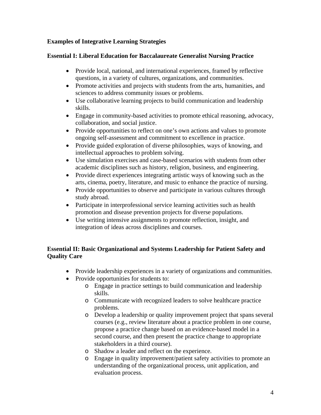## **Examples of Integrative Learning Strategies**

## **Essential I: Liberal Education for Baccalaureate Generalist Nursing Practice**

- Provide local, national, and international experiences, framed by reflective questions, in a variety of cultures, organizations, and communities.
- Promote activities and projects with students from the arts, humanities, and sciences to address community issues or problems.
- Use collaborative learning projects to build communication and leadership skills.
- Engage in community-based activities to promote ethical reasoning, advocacy, collaboration, and social justice.
- Provide opportunities to reflect on one's own actions and values to promote ongoing self-assessment and commitment to excellence in practice.
- Provide guided exploration of diverse philosophies, ways of knowing, and intellectual approaches to problem solving.
- Use simulation exercises and case-based scenarios with students from other academic disciplines such as history, religion, business, and engineering.
- Provide direct experiences integrating artistic ways of knowing such as the arts, cinema, poetry, literature, and music to enhance the practice of nursing.
- Provide opportunities to observe and participate in various cultures through study abroad.
- Participate in interprofessional service learning activities such as health promotion and disease prevention projects for diverse populations.
- Use writing intensive assignments to promote reflection, insight, and integration of ideas across disciplines and courses.

## **Essential II: Basic Organizational and Systems Leadership for Patient Safety and Quality Care**

- Provide leadership experiences in a variety of organizations and communities.
- Provide opportunities for students to:
	- o Engage in practice settings to build communication and leadership skills.
	- o Communicate with recognized leaders to solve healthcare practice problems.
	- o Develop a leadership or quality improvement project that spans several courses (e.g., review literature about a practice problem in one course, propose a practice change based on an evidence-based model in a second course, and then present the practice change to appropriate stakeholders in a third course).
	- o Shadow a leader and reflect on the experience.
	- o Engage in quality improvement/patient safety activities to promote an understanding of the organizational process, unit application, and evaluation process.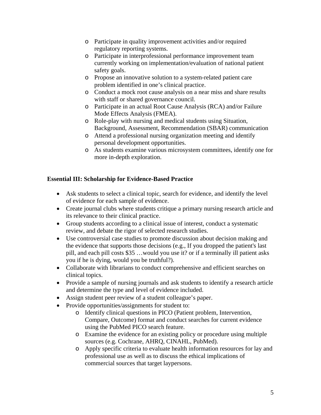- o Participate in quality improvement activities and/or required regulatory reporting systems.
- o Participate in interprofessional performance improvement team currently working on implementation/evaluation of national patient safety goals.
- o Propose an innovative solution to a system-related patient care problem identified in one's clinical practice.
- o Conduct a mock root cause analysis on a near miss and share results with staff or shared governance council.
- o Participate in an actual Root Cause Analysis (RCA) and/or Failure Mode Effects Analysis (FMEA).
- o Role-play with nursing and medical students using Situation, Background, Assessment, Recommendation (SBAR) communication
- o Attend a professional nursing organization meeting and identify personal development opportunities.
- o As students examine various microsystem committees, identify one for more in-depth exploration.

# **Essential III: Scholarship for Evidence-Based Practice**

- Ask students to select a clinical topic, search for evidence, and identify the level of evidence for each sample of evidence.
- Create journal clubs where students critique a primary nursing research article and its relevance to their clinical practice.
- Group students according to a clinical issue of interest, conduct a systematic review, and debate the rigor of selected research studies.
- Use controversial case studies to promote discussion about decision making and the evidence that supports those decisions (e.g., If you dropped the patient's last pill, and each pill costs \$35 …would you use it? or if a terminally ill patient asks you if he is dying, would you be truthful?).
- Collaborate with librarians to conduct comprehensive and efficient searches on clinical topics.
- Provide a sample of nursing journals and ask students to identify a research article and determine the type and level of evidence included.
- Assign student peer review of a student colleague's paper.
- Provide opportunities/assignments for student to:
	- o Identify clinical questions in PICO (Patient problem, Intervention, Compare, Outcome) format and conduct searches for current evidence using the PubMed PICO search feature.
	- o Examine the evidence for an existing policy or procedure using multiple sources (e.g. Cochrane, AHRQ, CINAHL, PubMed).
	- o Apply specific criteria to evaluate health information resources for lay and professional use as well as to discuss the ethical implications of commercial sources that target laypersons.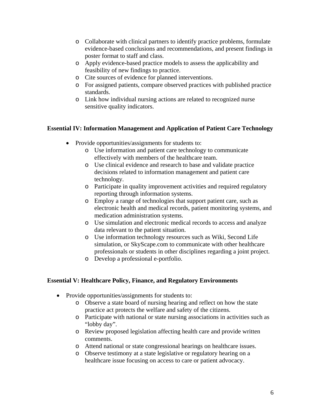- o Collaborate with clinical partners to identify practice problems, formulate evidence-based conclusions and recommendations, and present findings in poster format to staff and class.
- o Apply evidence-based practice models to assess the applicability and feasibility of new findings to practice.
- o Cite sources of evidence for planned interventions.
- o For assigned patients, compare observed practices with published practice standards.
- o Link how individual nursing actions are related to recognized nurse sensitive quality indicators.

#### **Essential IV: Information Management and Application of Patient Care Technology**

- Provide opportunities/assignments for students to:
	- o Use information and patient care technology to communicate effectively with members of the healthcare team.
	- o Use clinical evidence and research to base and validate practice decisions related to information management and patient care technology.
	- o Participate in quality improvement activities and required regulatory reporting through information systems.
	- o Employ a range of technologies that support patient care, such as electronic health and medical records, patient monitoring systems, and medication administration systems.
	- o Use simulation and electronic medical records to access and analyze data relevant to the patient situation.
	- o Use information technology resources such as Wiki, Second Life simulation, or SkyScape.com to communicate with other healthcare professionals or students in other disciplines regarding a joint project.
	- o Develop a professional e-portfolio.

#### **Essential V: Healthcare Policy, Finance, and Regulatory Environments**

- Provide opportunities/assignments for students to:
	- o Observe a state board of nursing hearing and reflect on how the state practice act protects the welfare and safety of the citizens.
	- o Participate with national or state nursing associations in activities such as "lobby day".
	- o Review proposed legislation affecting health care and provide written comments.
	- o Attend national or state congressional hearings on healthcare issues.
	- o Observe testimony at a state legislative or regulatory hearing on a healthcare issue focusing on access to care or patient advocacy.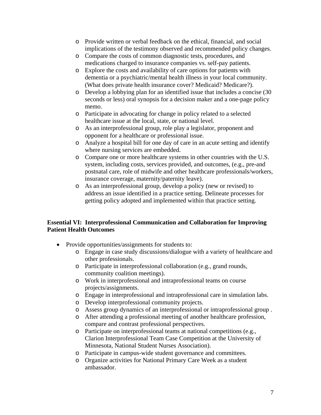- o Provide written or verbal feedback on the ethical, financial, and social implications of the testimony observed and recommended policy changes.
- o Compare the costs of common diagnostic tests, procedures, and medications charged to insurance companies vs. self-pay patients.
- o Explore the costs and availability of care options for patients with dementia or a psychiatric/mental health illness in your local community. (What does private health insurance cover? Medicaid? Medicare?).
- o Develop a lobbying plan for an identified issue that includes a concise (30 seconds or less) oral synopsis for a decision maker and a one-page policy memo.
- o Participate in advocating for change in policy related to a selected healthcare issue at the local, state, or national level.
- o As an interprofessional group, role play a legislator, proponent and opponent for a healthcare or professional issue.
- o Analyze a hospital bill for one day of care in an acute setting and identify where nursing services are embedded.
- o Compare one or more healthcare systems in other countries with the U.S. system, including costs, services provided, and outcomes, (e.g., pre-and postnatal care, role of midwife and other healthcare professionals/workers, insurance coverage, maternity/paternity leave).
- o As an interprofessional group, develop a policy (new or revised) to address an issue identified in a practice setting. Delineate processes for getting policy adopted and implemented within that practice setting.

## **Essential VI: Interprofessional Communication and Collaboration for Improving Patient Health Outcomes**

- Provide opportunities/assignments for students to:
	- o Engage in case study discussions/dialogue with a variety of healthcare and other professionals.
	- o Participate in interprofessional collaboration (e.g., grand rounds, community coalition meetings).
	- o Work in interprofessional and intraprofessional teams on course projects/assignments.
	- o Engage in interprofessional and intraprofessional care in simulation labs.
	- o Develop interprofessional community projects.
	- o Assess group dynamics of an interprofessional or intraprofessional group .
	- o After attending a professional meeting of another healthcare profession, compare and contrast professional perspectives.
	- o Participate on interprofessional teams at national competitions (e.g., Clarion Interprofessional Team Case Competition at the University of Minnesota, National Student Nurses Association).
	- o Participate in campus-wide student governance and committees.
	- o Organize activities for National Primary Care Week as a student ambassador.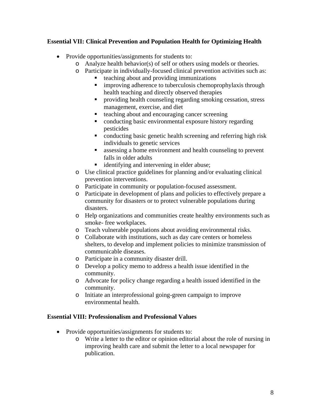## **Essential VII: Clinical Prevention and Population Health for Optimizing Health**

- Provide opportunities/assignments for students to:
	- o Analyze health behavior(s) of self or others using models or theories.
	- o Participate in individually-focused clinical prevention activities such as:
		- teaching about and providing immunizations
		- **improving adherence to tuberculosis chemoprophylaxis through** health teaching and directly observed therapies
		- providing health counseling regarding smoking cessation, stress management, exercise, and diet
		- teaching about and encouraging cancer screening
		- conducting basic environmental exposure history regarding pesticides
		- conducting basic genetic health screening and referring high risk individuals to genetic services
		- assessing a home environment and health counseling to prevent falls in older adults
		- **identifying and intervening in elder abuse;**
	- o Use clinical practice guidelines for planning and/or evaluating clinical prevention interventions.
	- o Participate in community or population-focused assessment.
	- o Participate in development of plans and policies to effectively prepare a community for disasters or to protect vulnerable populations during disasters.
	- o Help organizations and communities create healthy environments such as smoke- free workplaces.
	- o Teach vulnerable populations about avoiding environmental risks.
	- o Collaborate with institutions, such as day care centers or homeless shelters, to develop and implement policies to minimize transmission of communicable diseases.
	- o Participate in a community disaster drill.
	- o Develop a policy memo to address a health issue identified in the community.
	- o Advocate for policy change regarding a health issued identified in the community.
	- o Initiate an interprofessional going-green campaign to improve environmental health.

#### **Essential VIII: Professionalism and Professional Values**

- Provide opportunities/assignments for students to:
	- o Write a letter to the editor or opinion editorial about the role of nursing in improving health care and submit the letter to a local newspaper for publication.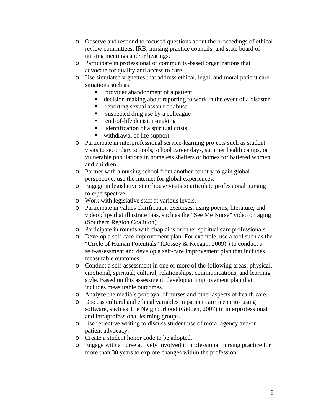- o Observe and respond to focused questions about the proceedings of ethical review committees, IRB, nursing practice councils, and state board of nursing meetings and/or hearings.
- o Participate in professional or community-based organizations that advocate for quality and access to care.
- o Use simulated vignettes that address ethical, legal. and moral patient care situations such as:
	- provider abandonment of a patient
	- decision-making about reporting to work in the event of a disaster
	- **reporting sexual assault or abuse**
	- suspected drug use by a colleague
	- end-of-life decision-making
	- $\blacksquare$  identification of a spiritual crisis
	- withdrawal of life support
- o Participate in interprofessional service-learning projects such as student visits to secondary schools, school career days, summer health camps, or vulnerable populations in homeless shelters or homes for battered women and children.
- o Partner with a nursing school from another country to gain global perspective; use the internet for global experiences.
- o Engage in legislative state house visits to articulate professional nursing role/perspective.
- o Work with legislative staff at various levels.
- o Participate in values clarification exercises, using poems, literature, and video clips that illustrate bias, such as the "See Me Nurse" video on aging (Southern Region Coalition).
- o Participate in rounds with chaplains or other spiritual care professionals.
- o Develop a self-care improvement plan. For example, use a tool such as the "Circle of Human Potentials" (Dossey & Keegan, 2009) ) to conduct a self-assessment and develop a self-care improvement plan that includes measurable outcomes.
- o Conduct a self-assessment in one or more of the following areas: physical, emotional, spiritual, cultural, relationships, communications, and learning style. Based on this assessment, develop an improvement plan that includes measurable outcomes.
- o Analyze the media's portrayal of nurses and other aspects of health care.
- o Discuss cultural and ethical variables in patient care scenarios using software, such as The Neighborhood (Gidden, 2007) in interprofessional and intraprofessional learning groups.
- o Use reflective writing to discuss student use of moral agency and/or patient advocacy.
- o Create a student honor code to be adopted.
- o Engage with a nurse actively involved in professional nursing practice for more than 30 years to explore changes within the profession.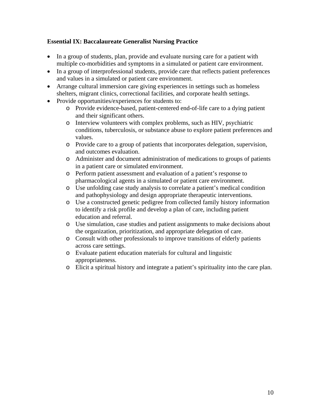## **Essential IX: Baccalaureate Generalist Nursing Practice**

- In a group of students, plan, provide and evaluate nursing care for a patient with multiple co-morbidities and symptoms in a simulated or patient care environment.
- In a group of interprofessional students, provide care that reflects patient preferences and values in a simulated or patient care environment.
- Arrange cultural immersion care giving experiences in settings such as homeless shelters, migrant clinics, correctional facilities, and corporate health settings.
- Provide opportunities/experiences for students to:
	- o Provide evidence-based, patient-centered end-of-life care to a dying patient and their significant others.
	- o Interview volunteers with complex problems, such as HIV, psychiatric conditions, tuberculosis, or substance abuse to explore patient preferences and values.
	- o Provide care to a group of patients that incorporates delegation, supervision, and outcomes evaluation.
	- o Administer and document administration of medications to groups of patients in a patient care or simulated environment.
	- o Perform patient assessment and evaluation of a patient's response to pharmacological agents in a simulated or patient care environment.
	- o Use unfolding case study analysis to correlate a patient's medical condition and pathophysiology and design appropriate therapeutic interventions.
	- o Use a constructed genetic pedigree from collected family history information to identify a risk profile and develop a plan of care, including patient education and referral.
	- o Use simulation, case studies and patient assignments to make decisions about the organization, prioritization, and appropriate delegation of care.
	- o Consult with other professionals to improve transitions of elderly patients across care settings.
	- o Evaluate patient education materials for cultural and linguistic appropriateness.
	- o Elicit a spiritual history and integrate a patient's spirituality into the care plan.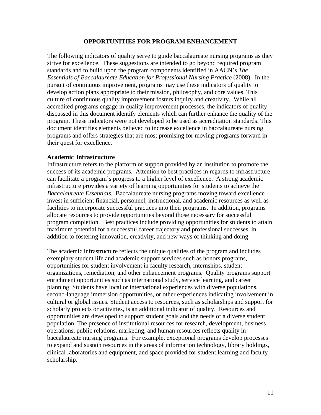#### **OPPORTUNITIES FOR PROGRAM ENHANCEMENT**

The following indicators of quality serve to guide baccalaureate nursing programs as they strive for excellence. These suggestions are intended to go beyond required program standards and to build upon the program components identified in AACN's *The Essentials of Baccalaureate Education for Professional Nursing Practice* (2008). In the pursuit of continuous improvement, programs may use these indicators of quality to develop action plans appropriate to their mission, philosophy, and core values. This culture of continuous quality improvement fosters inquiry and creativity. While all accredited programs engage in quality improvement processes, the indicators of quality discussed in this document identify elements which can further enhance the quality of the program. These indicators were not developed to be used as accreditation standards. This document identifies elements believed to increase excellence in baccalaureate nursing programs and offers strategies that are most promising for moving programs forward in their quest for excellence.

#### **Academic Infrastructure**

Infrastructure refers to the platform of support provided by an institution to promote the success of its academic programs. Attention to best practices in regards to infrastructure can facilitate a program's progress to a higher level of excellence. A strong academic infrastructure provides a variety of learning opportunities for students to achieve the *Baccalaureate Essentials.* Baccalaureate nursing programs moving toward excellence invest in sufficient financial, personnel, instructional, and academic resources as well as facilities to incorporate successful practices into their programs. In addition, programs allocate resources to provide opportunities beyond those necessary for successful program completion. Best practices include providing opportunities for students to attain maximum potential for a successful career trajectory and professional successes, in addition to fostering innovation, creativity, and new ways of thinking and doing.

The academic infrastructure reflects the unique qualities of the program and includes exemplary student life and academic support services such as honors programs, opportunities for student involvement in faculty research, internships, student organizations, remediation, and other enhancement programs. Quality programs support enrichment opportunities such as international study, service learning, and career planning. Students have local or international experiences with diverse populations, second-language immersion opportunities, or other experiences indicating involvement in cultural or global issues. Student access to resources, such as scholarships and support for scholarly projects or activities, is an additional indicator of quality. Resources and opportunities are developed to support student goals and the needs of a diverse student population. The presence of institutional resources for research, development, business operations, public relations, marketing, and human resources reflects quality in baccalaureate nursing programs. For example, exceptional programs develop processes to expand and sustain resources in the areas of information technology, library holdings, clinical laboratories and equipment, and space provided for student learning and faculty scholarship.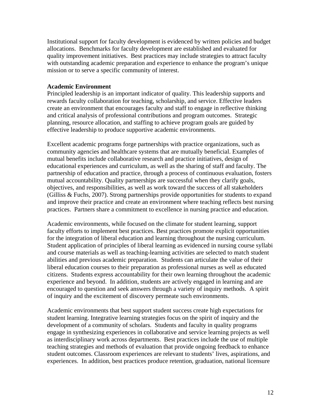Institutional support for faculty development is evidenced by written policies and budget allocations. Benchmarks for faculty development are established and evaluated for quality improvement initiatives. Best practices may include strategies to attract faculty with outstanding academic preparation and experience to enhance the program's unique mission or to serve a specific community of interest.

#### **Academic Environment**

Principled leadership is an important indicator of quality. This leadership supports and rewards faculty collaboration for teaching, scholarship, and service. Effective leaders create an environment that encourages faculty and staff to engage in reflective thinking and critical analysis of professional contributions and program outcomes. Strategic planning, resource allocation, and staffing to achieve program goals are guided by effective leadership to produce supportive academic environments.

Excellent academic programs forge partnerships with practice organizations, such as community agencies and healthcare systems that are mutually beneficial. Examples of mutual benefits include collaborative research and practice initiatives, design of educational experiences and curriculum, as well as the sharing of staff and faculty. The partnership of education and practice, through a process of continuous evaluation, fosters mutual accountability. Quality partnerships are successful when they clarify goals, objectives, and responsibilities, as well as work toward the success of all stakeholders (Gilliss & Fuchs, 2007). Strong partnerships provide opportunities for students to expand and improve their practice and create an environment where teaching reflects best nursing practices. Partners share a commitment to excellence in nursing practice and education.

Academic environments, while focused on the climate for student learning, support faculty efforts to implement best practices. Best practices promote explicit opportunities for the integration of liberal education and learning throughout the nursing curriculum. Student application of principles of liberal learning as evidenced in nursing course syllabi and course materials as well as teaching-learning activities are selected to match student abilities and previous academic preparation. Students can articulate the value of their liberal education courses to their preparation as professional nurses as well as educated citizens. Students express accountability for their own learning throughout the academic experience and beyond. In addition, students are actively engaged in learning and are encouraged to question and seek answers through a variety of inquiry methods. A spirit of inquiry and the excitement of discovery permeate such environments.

Academic environments that best support student success create high expectations for student learning. Integrative learning strategies focus on the spirit of inquiry and the development of a community of scholars. Students and faculty in quality programs engage in synthesizing experiences in collaborative and service learning projects as well as interdisciplinary work across departments. Best practices include the use of multiple teaching strategies and methods of evaluation that provide ongoing feedback to enhance student outcomes. Classroom experiences are relevant to students' lives, aspirations, and experiences. In addition, best practices produce retention, graduation, national licensure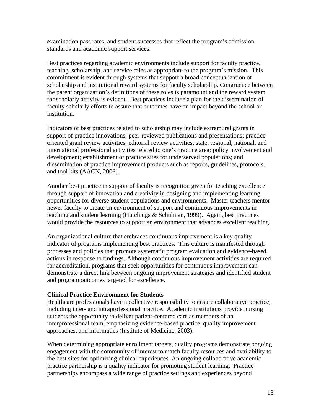examination pass rates, and student successes that reflect the program's admission standards and academic support services.

Best practices regarding academic environments include support for faculty practice, teaching, scholarship, and service roles as appropriate to the program's mission. This commitment is evident through systems that support a broad conceptualization of scholarship and institutional reward systems for faculty scholarship. Congruence between the parent organization's definitions of these roles is paramount and the reward system for scholarly activity is evident. Best practices include a plan for the dissemination of faculty scholarly efforts to assure that outcomes have an impact beyond the school or institution.

Indicators of best practices related to scholarship may include extramural grants in support of practice innovations; peer-reviewed publications and presentations; practiceoriented grant review activities; editorial review activities; state, regional, national, and international professional activities related to one's practice area; policy involvement and development; establishment of practice sites for underserved populations; and dissemination of practice improvement products such as reports, guidelines, protocols, and tool kits (AACN, 2006).

Another best practice in support of faculty is recognition given for teaching excellence through support of innovation and creativity in designing and implementing learning opportunities for diverse student populations and environments. Master teachers mentor newer faculty to create an environment of support and continuous improvements in teaching and student learning (Hutchings & Schulman, 1999). Again, best practices would provide the resources to support an environment that advances excellent teaching.

An organizational culture that embraces continuous improvement is a key quality indicator of programs implementing best practices. This culture is manifested through processes and policies that promote systematic program evaluation and evidence-based actions in response to findings. Although continuous improvement activities are required for accreditation, programs that seek opportunities for continuous improvement can demonstrate a direct link between ongoing improvement strategies and identified student and program outcomes targeted for excellence.

#### **Clinical Practice Environment for Students**

Healthcare professionals have a collective responsibility to ensure collaborative practice, including inter- and intraprofessional practice. Academic institutions provide nursing students the opportunity to deliver patient-centered care as members of an interprofessional team, emphasizing evidence-based practice, quality improvement approaches, and informatics (Institute of Medicine, 2003).

When determining appropriate enrollment targets, quality programs demonstrate ongoing engagement with the community of interest to match faculty resources and availability to the best sites for optimizing clinical experiences. An ongoing collaborative academic practice partnership is a quality indicator for promoting student learning. Practice partnerships encompass a wide range of practice settings and experiences beyond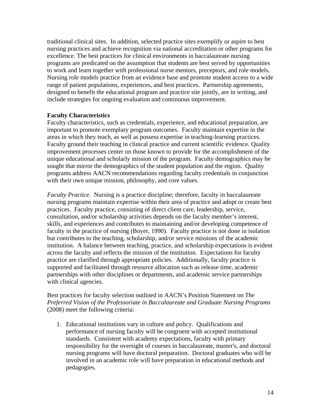traditional clinical sites. In addition, selected practice sites exemplify or aspire to best nursing practices and achieve recognition via national accreditation or other programs for excellence. The best practices for clinical environments in baccalaureate nursing programs are predicated on the assumption that students are best served by opportunities to work and learn together with professional nurse mentors, preceptors, and role models. Nursing role models practice from an evidence base and promote student access to a wide range of patient populations, experiences, and best practices. Partnership agreements, designed to benefit the educational program and practice site jointly, are in writing, and include strategies for ongoing evaluation and continuous improvement.

#### **Faculty Characteristics**

Faculty characteristics, such as credentials, experience, and educational preparation, are important to promote exemplary program outcomes. Faculty maintain expertise in the areas in which they teach, as well as possess expertise in teaching-learning practices. Faculty ground their teaching in clinical practice and current scientific evidence. Quality improvement processes center on those known to provide for the accomplishment of the unique educational and scholarly mission of the program. Faculty demographics may be sought that mirror the demographics of the student population and the region. Quality programs address AACN recommendations regarding faculty credentials in conjunction with their own unique mission, philosophy, and core values.

*Faculty Practice.* Nursing is a practice discipline; therefore, faculty in baccalaureate nursing programs maintain expertise within their area of practice and adopt or create best practices. Faculty practice, consisting of direct client care, leadership, service, consultation, and/or scholarship activities depends on the faculty member's interest, skills, and experiences and contributes to maintaining and/or developing competence of faculty in the practice of nursing (Boyer, 1990). Faculty practice is not done in isolation but contributes to the teaching, scholarship, and/or service missions of the academic institution. A balance between teaching, practice, and scholarship expectations is evident across the faculty and reflects the mission of the institution. Expectations for faculty practice are clarified through appropriate policies. Additionally, faculty practice is supported and facilitated through resource allocation such as release time, academic partnerships with other disciplines or departments, and academic service partnerships with clinical agencies.

#### Best practices for faculty selection outlined in AACN's Position Statement on *The Preferred Vision of the Professoriate in Baccalaureate and Graduate Nursing Programs* (2008) meet the following criteria:

1. Educational institutions vary in culture and policy. Qualifications and performance of nursing faculty will be congruent with accepted institutional standards. Consistent with academy expectations, faculty with primary responsibility for the oversight of courses in baccalaureate, master's, and doctoral nursing programs will have doctoral preparation. Doctoral graduates who will be involved in an academic role will have preparation in educational methods and pedagogies.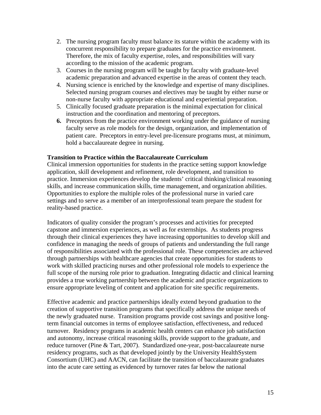- 2. The nursing program faculty must balance its stature within the academy with its concurrent responsibility to prepare graduates for the practice environment. Therefore, the mix of faculty expertise, roles, and responsibilities will vary according to the mission of the academic program.
- 3. Courses in the nursing program will be taught by faculty with graduate-level academic preparation and advanced expertise in the areas of content they teach.
- 4. Nursing science is enriched by the knowledge and expertise of many disciplines. Selected nursing program courses and electives may be taught by either nurse or non-nurse faculty with appropriate educational and experiential preparation.
- 5. Clinically focused graduate preparation is the minimal expectation for clinical instruction and the coordination and mentoring of preceptors.
- **6.** Preceptors from the practice environment working under the guidance of nursing faculty serve as role models for the design, organization, and implementation of patient care. Preceptors in entry-level pre-licensure programs must, at minimum, hold a baccalaureate degree in nursing.

#### **Transition to Practice within the Baccalaureate Curriculum**

Clinical immersion opportunities for students in the practice setting support knowledge application, skill development and refinement, role development, and transition to practice. Immersion experiences develop the students' critical thinking/clinical reasoning skills, and increase communication skills, time management, and organization abilities. Opportunities to explore the multiple roles of the professional nurse in varied care settings and to serve as a member of an interprofessional team prepare the student for reality-based practice.

Indicators of quality consider the program's processes and activities for precepted capstone and immersion experiences, as well as for externships. As students progress through their clinical experiences they have increasing opportunities to develop skill and confidence in managing the needs of groups of patients and understanding the full range of responsibilities associated with the professional role. These competencies are achieved through partnerships with healthcare agencies that create opportunities for students to work with skilled practicing nurses and other professional role models to experience the full scope of the nursing role prior to graduation. Integrating didactic and clinical learning provides a true working partnership between the academic and practice organizations to ensure appropriate leveling of content and application for site specific requirements.

Effective academic and practice partnerships ideally extend beyond graduation to the creation of supportive transition programs that specifically address the unique needs of the newly graduated nurse. Transition programs provide cost savings and positive longterm financial outcomes in terms of employee satisfaction, effectiveness, and reduced turnover. Residency programs in academic health centers can enhance job satisfaction and autonomy, increase critical reasoning skills, provide support to the graduate, and reduce turnover (Pine & Tart, 2007). Standardized one-year, post-baccalaureate nurse residency programs, such as that developed jointly by the University HealthSystem Consortium (UHC) and AACN, can facilitate the transition of baccalaureate graduates into the acute care setting as evidenced by turnover rates far below the national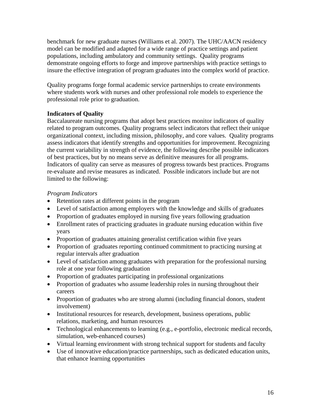benchmark for new graduate nurses (Williams et al. 2007). The UHC/AACN residency model can be modified and adapted for a wide range of practice settings and patient populations, including ambulatory and community settings. Quality programs demonstrate ongoing efforts to forge and improve partnerships with practice settings to insure the effective integration of program graduates into the complex world of practice.

Quality programs forge formal academic service partnerships to create environments where students work with nurses and other professional role models to experience the professional role prior to graduation.

## **Indicators of Quality**

Baccalaureate nursing programs that adopt best practices monitor indicators of quality related to program outcomes. Quality programs select indicators that reflect their unique organizational context, including mission, philosophy, and core values. Quality programs assess indicators that identify strengths and opportunities for improvement. Recognizing the current variability in strength of evidence, the following describe possible indicators of best practices, but by no means serve as definitive measures for all programs. Indicators of quality can serve as measures of progress towards best practices. Programs re-evaluate and revise measures as indicated. Possible indicators include but are not limited to the following:

## *Program Indicators*

- Retention rates at different points in the program
- Level of satisfaction among employers with the knowledge and skills of graduates
- Proportion of graduates employed in nursing five years following graduation
- Enrollment rates of practicing graduates in graduate nursing education within five years
- Proportion of graduates attaining generalist certification within five years
- Proportion of graduates reporting continued commitment to practicing nursing at regular intervals after graduation
- Level of satisfaction among graduates with preparation for the professional nursing role at one year following graduation
- Proportion of graduates participating in professional organizations
- Proportion of graduates who assume leadership roles in nursing throughout their careers
- Proportion of graduates who are strong alumni (including financial donors, student involvement)
- Institutional resources for research, development, business operations, public relations, marketing, and human resources
- Technological enhancements to learning (e.g., e-portfolio, electronic medical records, simulation, web-enhanced courses)
- Virtual learning environment with strong technical support for students and faculty
- Use of innovative education/practice partnerships, such as dedicated education units, that enhance learning opportunities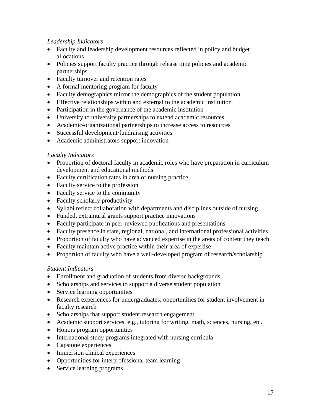## *Leadership Indicators*

- Faculty and leadership development resources reflected in policy and budget allocations
- Policies support faculty practice through release time policies and academic partnerships
- Faculty turnover and retention rates
- A formal mentoring program for faculty
- Faculty demographics mirror the demographics of the student population
- Effective relationships within and external to the academic institution
- Participation in the governance of the academic institution
- University to university partnerships to extend academic resources
- Academic-organizational partnerships to increase access to resources
- Successful development/fundraising activities
- Academic administrators support innovation

## *Faculty Indicators*

- Proportion of doctoral faculty in academic roles who have preparation in curriculum development and educational methods
- Faculty certification rates in area of nursing practice
- Faculty service to the profession
- Faculty service to the community
- Faculty scholarly productivity
- Syllabi reflect collaboration with departments and disciplines outside of nursing
- Funded, extramural grants support practice innovations
- Faculty participate in peer-reviewed publications and presentations
- Faculty presence in state, regional, national, and international professional activities
- Proportion of faculty who have advanced expertise in the areas of content they teach
- Faculty maintain active practice within their area of expertise
- Proportion of faculty who have a well-developed program of research/scholarship

# *Student Indicators*

- Enrollment and graduation of students from diverse backgrounds
- Scholarships and services to support a diverse student population
- Service learning opportunities
- Research experiences for undergraduates; opportunities for student involvement in faculty research
- Scholarships that support student research engagement
- Academic support services, e.g., tutoring for writing, math, sciences, nursing, etc.
- Honors program opportunities
- International study programs integrated with nursing curricula
- Capstone experiences
- Immersion clinical experiences
- Opportunities for interprofessional team learning
- Service learning programs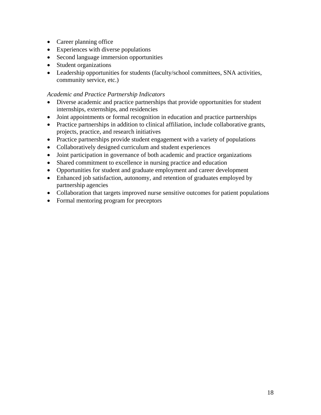- Career planning office
- Experiences with diverse populations
- Second language immersion opportunities
- Student organizations
- Leadership opportunities for students (faculty/school committees, SNA activities, community service, etc.)

#### *Academic and Practice Partnership Indicators*

- Diverse academic and practice partnerships that provide opportunities for student internships, externships, and residencies
- Joint appointments or formal recognition in education and practice partnerships
- Practice partnerships in addition to clinical affiliation, include collaborative grants, projects, practice, and research initiatives
- Practice partnerships provide student engagement with a variety of populations
- Collaboratively designed curriculum and student experiences
- Joint participation in governance of both academic and practice organizations
- Shared commitment to excellence in nursing practice and education
- Opportunities for student and graduate employment and career development
- Enhanced job satisfaction, autonomy, and retention of graduates employed by partnership agencies
- Collaboration that targets improved nurse sensitive outcomes for patient populations
- Formal mentoring program for preceptors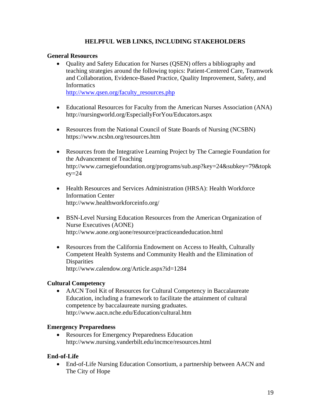#### **HELPFUL WEB LINKS, INCLUDING STAKEHOLDERS**

#### **General Resources**

• Quality and Safety Education for Nurses (QSEN) offers a bibliography and teaching strategies around the following topics: Patient-Centered Care, Teamwork and Collaboration, Evidence-Based Practice, Quality Improvement, Safety, and Informatics

[http://www.qsen.org/faculty\\_resources.php](http://www.qsen.org/faculty_resources.php)

- Educational Resources for Faculty from the American Nurses Association (ANA) http://nursingworld.org/EspeciallyForYou/Educators.aspx
- Resources from the National Council of State Boards of Nursing (NCSBN) https://www.ncsbn.org/resources.htm
- Resources from the Integrative Learning Project by The Carnegie Foundation for the Advancement of Teaching http://www.carnegiefoundation.org/programs/sub.asp?key=24&subkey=79&topk  $ev=24$
- Health Resources and Services Administration (HRSA): Health Workforce Information Center http://www.healthworkforceinfo.org/
- BSN-Level Nursing Education Resources from the American Organization of Nurse Executives (AONE) http://www.aone.org/aone/resource/practiceandeducation.html
- Resources from the California Endowment on Access to Health, Culturally Competent Health Systems and Community Health and the Elimination of **Disparities** http://www.calendow.org/Article.aspx?id=1284

#### **Cultural Competency**

• AACN Tool Kit of Resources for Cultural Competency in Baccalaureate Education, including a framework to facilitate the attainment of cultural competence by baccalaureate nursing graduates. http://www.aacn.nche.edu/Education/cultural.htm

#### **Emergency Preparedness**

• Resources for Emergency Preparedness Education http://www.nursing.vanderbilt.edu/incmce/resources.html

#### **End-of-Life**

• End-of-Life Nursing Education Consortium, a partnership between AACN and The City of Hope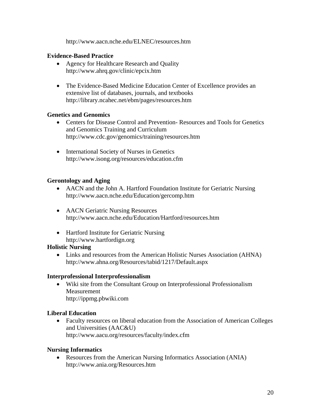http://www.aacn.nche.edu/ELNEC/resources.htm

## **Evidence-Based Practice**

- Agency for Healthcare Research and Quality <http://www.ahrq.gov/clinic/epcix.htm>
- The Evidence-Based Medicine Education Center of Excellence provides an extensive list of databases, journals, and textbooks http://library.ncahec.net/ebm/pages/resources.htm

#### **Genetics and Genomics**

- Centers for Disease Control and Prevention- Resources and Tools for Genetics and Genomics Training and Curriculum http://www.cdc.gov/genomics/training/resources.htm
- International Society of Nurses in Genetics http://www.isong.org/resources/education.cfm

# **Gerontology and Aging**

- AACN and the John A. Hartford Foundation Institute for Geriatric Nursing <http://www.aacn.nche.edu/Education/gercomp.htm>
- AACN Geriatric Nursing Resources http://www.aacn.nche.edu/Education/Hartford/resources.htm
- Hartford Institute for Geriatric Nursing [http://www.hartfordign.org](http://www.hartfordign.org/)

#### **Holistic Nursing**

• Links and resources from the American Holistic Nurses Association (AHNA) http://www.ahna.org/Resources/tabid/1217/Default.aspx

#### **Interprofessional Interprofessionalism**

• Wiki site from the Consultant Group on Interprofessional Professionalism Measurement http://ippmg.pbwiki.com

# **Liberal Education**

• Faculty resources on liberal education from the Association of American Colleges and Universities (AAC&U) http://www.aacu.org/resources/faculty/index.cfm

# **Nursing Informatics**

• Resources from the American Nursing Informatics Association (ANIA) <http://www.ania.org/Resources.htm>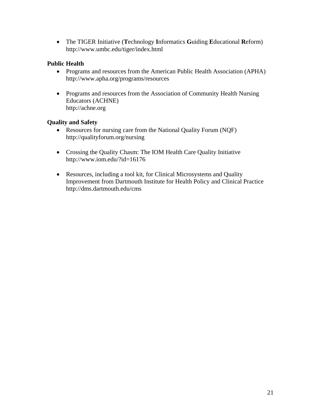• The TIGER Initiative (**T**echnology **I**nformatics **G**uiding **E**ducational **R**eform) http://www.umbc.edu/tiger/index.html

## **Public Health**

- Programs and resources from the American Public Health Association (APHA) [http://www.apha.org/programs/resources](http://www.apha.org/programs/resources/)
- Programs and resources from the Association of Community Health Nursing Educators (ACHNE) http://achne.org

## **Quality and Safety**

- Resources for nursing care from the National Quality Forum (NQF) http://qualityforum.org/nursing
- Crossing the Quality Chasm: The IOM Health Care Quality Initiative <http://www.iom.edu/?id=16176>
- Resources, including a tool kit, for Clinical Microsystems and Quality Improvement from Dartmouth Institute for Health Policy and Clinical Practice http://dms.dartmouth.edu/cms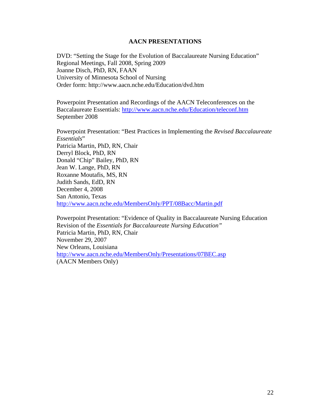#### **AACN PRESENTATIONS**

DVD: "Setting the Stage for the Evolution of Baccalaureate Nursing Education" Regional Meetings, Fall 2008, Spring 2009 Joanne Disch, PhD, RN, FAAN University of Minnesota School of Nursing Order form: <http://www.aacn.nche.edu/Education/dvd.htm>

Powerpoint Presentation and Recordings of the AACN Teleconferences on the Baccalaureate Essentials: <http://www.aacn.nche.edu/Education/teleconf.htm> September 2008

Powerpoint Presentation: "Best Practices in Implementing the *Revised Baccalaureate Essentials*" Patricia Martin, PhD, RN, Chair Derryl Block, PhD, RN Donald "Chip" Bailey, PhD, RN Jean W. Lange, PhD, RN Roxanne Moutafis, MS, RN Judith Sands, EdD, RN December 4, 2008 San Antonio, Texas <http://www.aacn.nche.edu/MembersOnly/PPT/08Bacc/Martin.pdf>

Powerpoint Presentation: "Evidence of Quality in Baccalaureate Nursing Education Revision of the *Essentials for Baccalaureate Nursing Education"*  Patricia Martin, PhD, RN, Chair November 29, 2007 New Orleans, Louisiana <http://www.aacn.nche.edu/MembersOnly/Presentations/07BEC.asp> (AACN Members Only)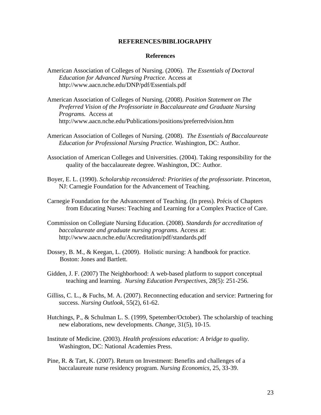#### **REFERENCES/BIBLIOGRAPHY**

#### **References**

- American Association of Colleges of Nursing. (2006).*The Essentials of Doctoral Education for Advanced Nursing Practice.* Access at http://www.aacn.nche.edu/DNP/pdf/Essentials.pdf
- American Association of Colleges of Nursing. (2008). *Position Statement on The Preferred Vision of the Professoriate in Baccalaureate and Graduate Nursing Programs.* Access at <http://www.aacn.nche.edu/Publications/positions/preferredvision.htm>
- American Association of Colleges of Nursing. (2008). *The Essentials of Baccalaureate Education for Professional Nursing Practice.* Washington, DC: Author.
- Association of American Colleges and Universities. (2004). Taking responsibility for the quality of the baccalaureate degree. Washington, DC: Author.
- Boyer, E. L. (1990). *Scholarship reconsidered: Priorities of the professoriate*. Princeton, NJ: Carnegie Foundation for the Advancement of Teaching.
- Carnegie Foundation for the Advancement of Teaching. (In press). Précis of Chapters from Educating Nurses: Teaching and Learning for a Complex Practice of Care.
- Commission on Collegiate Nursing Education. (2008). *Standards for accreditation of baccalaureate and graduate nursing programs.* Access at: <http://www.aacn.nche.edu/Accreditation/pdf/standards.pdf>
- Dossey, B. M., & Keegan, L. (2009). Holistic nursing: A handbook for practice. Boston: Jones and Bartlett.
- Gidden, J. F. (2007) The Neighborhood: A web-based platform to support conceptual teaching and learning. *Nursing Education Perspectives,* 28(5): 251-256.
- Gilliss, C. L., & Fuchs, M. A. (2007). Reconnecting education and service: Partnering for success. *Nursing Outlook*, 55(2), 61-62.
- Hutchings, P., & Schulman L. S. (1999, Spetember/October). The scholarship of teaching new elaborations, new developments. *Change*, 31(5), 10-15.
- Institute of Medicine. (2003). *Health professions education: A bridge to quality.* Washington, DC: National Academies Press.
- Pine, R. & Tart, K. (2007). Return on Investment: Benefits and challenges of a baccalaureate nurse residency program. *Nursing Economics*, 25, 33-39.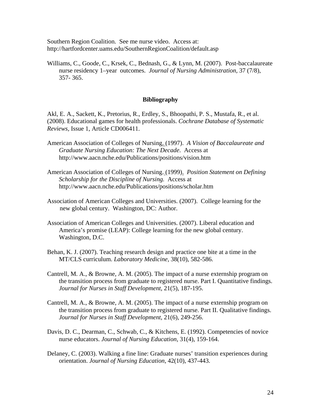Southern Region Coalition. See me nurse video. Access at: http://hartfordcenter.uams.edu/SouthernRegionCoalition/default.asp

Williams, C., Goode, C., Krsek, C., Bednash, G., & Lynn, M. (2007). Post-baccalaureate nurse residency 1–year outcomes. *Journal of Nursing Administration,* 37 (7/8), 357- 365.

#### **Bibliography**

Akl, E. A., Sackett, K., Pretorius, R., Erdley, S., Bhoopathi, P. S., Mustafa, R., et al. (2008). Educational games for health professionals. *Cochrane Database of Systematic Reviews,* Issue 1, Article CD006411.

- American Association of Colleges of Nursing. (1997). *A Vision of Baccalaureate and Graduate Nursing Education: The Next Decade*. Access at http://www.aacn.nche.edu/Publications/positions/vision.htm
- American Association of Colleges of Nursing. (1999).*Position Statement on Defining Scholarship for the Discipline of Nursing.* Access at http://www.aacn.nche.edu/Publications/positions/scholar.htm
- Association of American Colleges and Universities. (2007). College learning for the new global century. Washington, DC: Author.
- Association of American Colleges and Universities. (2007). Liberal education and America's promise (LEAP): College learning for the new global century. Washington, D.C.
- Behan, K. J. (2007). Teaching research design and practice one bite at a time in the MT/CLS curriculum. *Laboratory Medicine,* 38(10), 582-586.
- Cantrell, M. A., & Browne, A. M. (2005). The impact of a nurse externship program on the transition process from graduate to registered nurse. Part I. Quantitative findings. *Journal for Nurses in Staff Development,* 21(5), 187-195.
- Cantrell, M. A., & Browne, A. M. (2005). The impact of a nurse externship program on the transition process from graduate to registered nurse. Part II. Qualitative findings. *Journal for Nurses in Staff Development,* 21(6), 249-256.
- Davis, D. C., Dearman, C., Schwab, C., & Kitchens, E. (1992). Competencies of novice nurse educators. *Journal of Nursing Education,* 31(4), 159-164.
- Delaney, C. (2003). Walking a fine line: Graduate nurses' transition experiences during orientation. *Journal of Nursing Education*, 42(10), 437-443.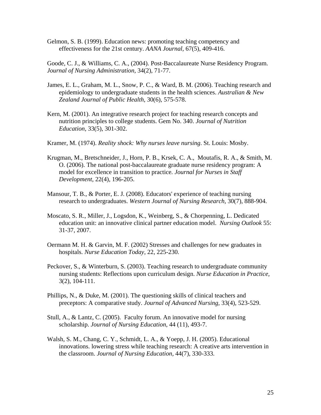Gelmon, S. B. (1999). Education news: promoting teaching competency and effectiveness for the 21st century. *AANA Journal,* 67(5), 409-416.

Goode, C. J., & Williams, C. A., (2004). Post-Baccalaureate Nurse Residency Program. *Journal of Nursing Administration,* 34(2), 71-77.

- James, E. L., Graham, M. L., Snow, P. C., & Ward, B. M. (2006). Teaching research and epidemiology to undergraduate students in the health sciences. *Australian & New Zealand Journal of Public Health,* 30(6), 575-578.
- Kern, M. (2001). An integrative research project for teaching research concepts and nutrition principles to college students. Gem No. 340. *Journal of Nutrition Education,* 33(5), 301-302.
- Kramer, M. (1974). *Reality shock: Why nurses leave nursing*. St. Louis: Mosby.
- Krugman, M., Bretschneider, J., Horn, P. B., Krsek, C. A., Moutafis, R. A., & Smith, M. O. (2006). The national post-baccalaureate graduate nurse residency program: A model for excellence in transition to practice*. Journal for Nurses in Staff Development*, 22(4), 196-205.
- Mansour, T. B., & Porter, E. J. (2008). Educators' experience of teaching nursing research to undergraduates. *Western Journal of Nursing Research,* 30(7), 888-904.
- Moscato, S. R., Miller, J., Logsdon, K., Weinberg, S., & Chorpenning, L. Dedicated education unit: an innovative clinical partner education model. *Nursing Outlook* 55: 31-37, 2007.
- Oermann M. H. & Garvin, M. F. (2002) Stresses and challenges for new graduates in hospitals. *Nurse Education Today*, 22, 225-230.
- Peckover, S., & Winterburn, S. (2003). Teaching research to undergraduate community nursing students: Reflections upon curriculum design. *Nurse Education in Practice,*  3(2), 104-111.
- Phillips, N., & Duke, M. (2001). The questioning skills of clinical teachers and preceptors: A comparative study. *Journal of Advanced Nursing,* 33(4), 523-529.
- Stull, A., & Lantz, C. (2005). Faculty forum. An innovative model for nursing scholarship. *Journal of Nursing Education*, 44 (11), 493-7.
- Walsh, S. M., Chang, C. Y., Schmidt, L. A., & Yoepp, J. H. (2005). Educational innovations. lowering stress while teaching research: A creative arts intervention in the classroom. *Journal of Nursing Education,* 44(7), 330-333.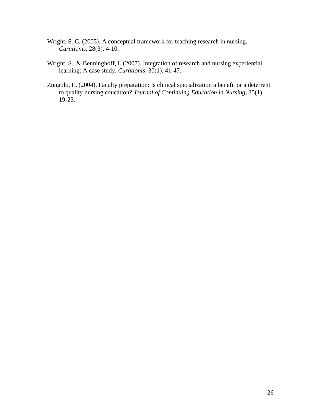- Wright, S. C. (2005). A conceptual framework for teaching research in nursing. *Curationis,* 28(3), 4-10.
- Wright, S., & Benninghoff, I. (2007). Integration of research and nursing experiential learning: A case study. *Curationis,* 30(1), 41-47.
- Zungolo, E. (2004). Faculty preparation: Is clinical specialization a benefit or a deterrent to quality nursing education? *Journal of Continuing Education in Nursing,* 35(1), 19-23.